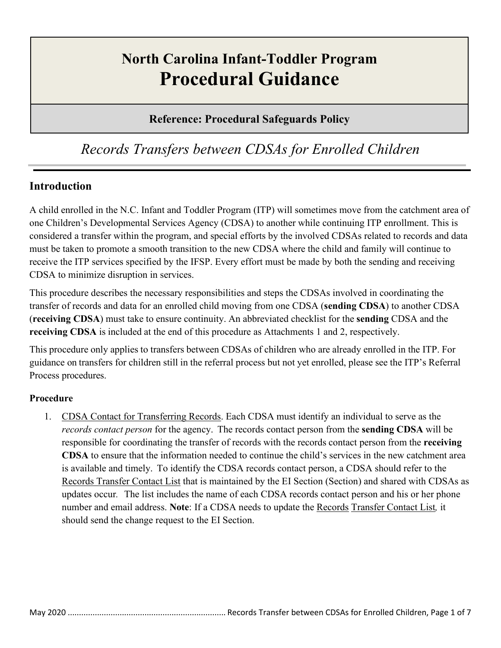# **North Carolina Infant-Toddler Program Procedural Guidance**

### **Reference: Procedural Safeguards Policy**

## *Records Transfers between CDSAs for Enrolled Children*

#### **Introduction**

A child enrolled in the N.C. Infant and Toddler Program (ITP) will sometimes move from the catchment area of one Children's Developmental Services Agency (CDSA) to another while continuing ITP enrollment. This is considered a transfer within the program, and special efforts by the involved CDSAs related to records and data must be taken to promote a smooth transition to the new CDSA where the child and family will continue to receive the ITP services specified by the IFSP. Every effort must be made by both the sending and receiving CDSA to minimize disruption in services.

This procedure describes the necessary responsibilities and steps the CDSAs involved in coordinating the transfer of records and data for an enrolled child moving from one CDSA (**sending CDSA**) to another CDSA (**receiving CDSA**) must take to ensure continuity. An abbreviated checklist for the **sending** CDSA and the **receiving CDSA** is included at the end of this procedure as Attachments 1 and 2, respectively.

This procedure only applies to transfers between CDSAs of children who are already enrolled in the ITP. For guidance on transfers for children still in the referral process but not yet enrolled, please see the ITP's Referral Process procedures.

#### **Procedure**

1. CDSA Contact for Transferring Records. Each CDSA must identify an individual to serve as the *records contact person* for the agency. The records contact person from the **sending CDSA** will be responsible for coordinating the transfer of records with the records contact person from the **receiving CDSA** to ensure that the information needed to continue the child's services in the new catchment area is available and timely. To identify the CDSA records contact person, a CDSA should refer to the Records Transfer Contact List that is maintained by the EI Section (Section) and shared with CDSAs as updates occur*.* The list includes the name of each CDSA records contact person and his or her phone number and email address. **Note**: If a CDSA needs to update the Records Transfer Contact List*,* it should send the change request to the EI Section.

May 2020 ...................................................................... Records Transfer between CDSAs for Enrolled Children, Page 1 of 7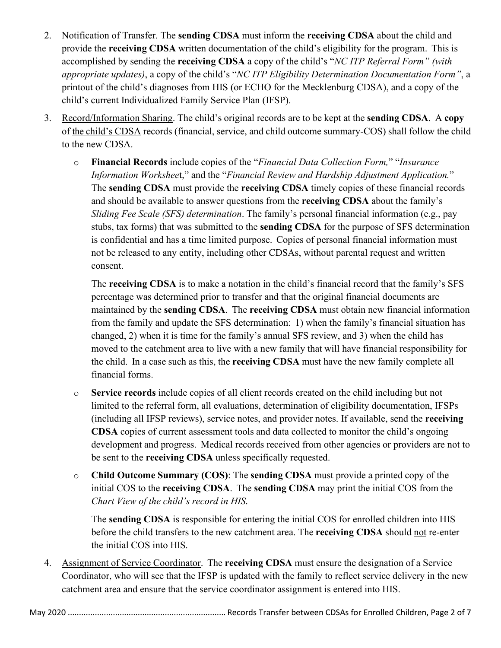- 2. Notification of Transfer. The **sending CDSA** must inform the **receiving CDSA** about the child and provide the **receiving CDSA** written documentation of the child's eligibility for the program. This is accomplished by sending the **receiving CDSA** a copy of the child's "*NC ITP Referral Form" (with appropriate updates)*, a copy of the child's "*NC ITP Eligibility Determination Documentation Form"*, a printout of the child's diagnoses from HIS (or ECHO for the Mecklenburg CDSA), and a copy of the child's current Individualized Family Service Plan (IFSP).
- 3. Record/Information Sharing. The child's original records are to be kept at the **sending CDSA**. A **copy** of the child's CDSA records (financial, service, and child outcome summary-COS) shall follow the child to the new CDSA.
	- o **Financial Records** include copies of the "*Financial Data Collection Form,*" "*Insurance Information Workshee*t," and the "*Financial Review and Hardship Adjustment Application.*" The **sending CDSA** must provide the **receiving CDSA** timely copies of these financial records and should be available to answer questions from the **receiving CDSA** about the family's *Sliding Fee Scale (SFS) determination*. The family's personal financial information (e.g., pay stubs, tax forms) that was submitted to the **sending CDSA** for the purpose of SFS determination is confidential and has a time limited purpose. Copies of personal financial information must not be released to any entity, including other CDSAs, without parental request and written consent.

The **receiving CDSA** is to make a notation in the child's financial record that the family's SFS percentage was determined prior to transfer and that the original financial documents are maintained by the **sending CDSA**. The **receiving CDSA** must obtain new financial information from the family and update the SFS determination: 1) when the family's financial situation has changed, 2) when it is time for the family's annual SFS review, and 3) when the child has moved to the catchment area to live with a new family that will have financial responsibility for the child. In a case such as this, the **receiving CDSA** must have the new family complete all financial forms.

- o **Service records** include copies of all client records created on the child including but not limited to the referral form, all evaluations, determination of eligibility documentation, IFSPs (including all IFSP reviews), service notes, and provider notes. If available, send the **receiving CDSA** copies of current assessment tools and data collected to monitor the child's ongoing development and progress. Medical records received from other agencies or providers are not to be sent to the **receiving CDSA** unless specifically requested.
- o **Child Outcome Summary (COS)**: The **sending CDSA** must provide a printed copy of the initial COS to the **receiving CDSA**. The **sending CDSA** may print the initial COS from the *Chart View of the child's record in HIS*.

The **sending CDSA** is responsible for entering the initial COS for enrolled children into HIS before the child transfers to the new catchment area. The **receiving CDSA** should not re-enter the initial COS into HIS.

4. Assignment of Service Coordinator. The **receiving CDSA** must ensure the designation of a Service Coordinator, who will see that the IFSP is updated with the family to reflect service delivery in the new catchment area and ensure that the service coordinator assignment is entered into HIS.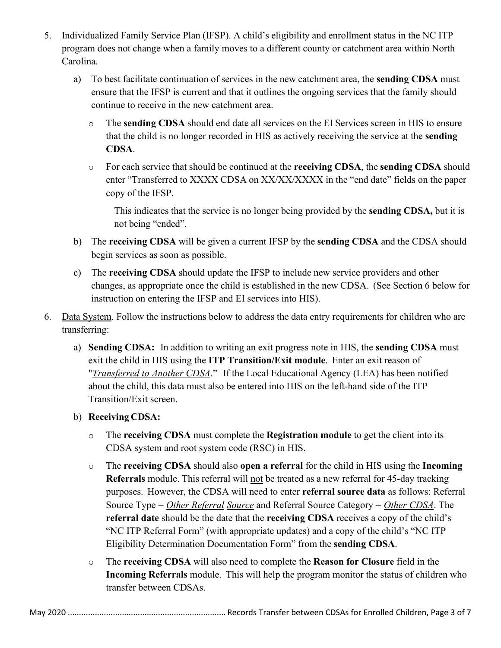- 5. Individualized Family Service Plan (IFSP). A child's eligibility and enrollment status in the NC ITP program does not change when a family moves to a different county or catchment area within North Carolina.
	- a) To best facilitate continuation of services in the new catchment area, the **sending CDSA** must ensure that the IFSP is current and that it outlines the ongoing services that the family should continue to receive in the new catchment area.
		- o The **sending CDSA** should end date all services on the EI Services screen in HIS to ensure that the child is no longer recorded in HIS as actively receiving the service at the **sending CDSA**.
		- o For each service that should be continued at the **receiving CDSA**, the **sending CDSA** should enter "Transferred to XXXX CDSA on XX/XX/XXXX in the "end date" fields on the paper copy of the IFSP.

This indicates that the service is no longer being provided by the **sending CDSA,** but it is not being "ended".

- b) The **receiving CDSA** will be given a current IFSP by the **sending CDSA** and the CDSA should begin services as soon as possible.
- c) The **receiving CDSA** should update the IFSP to include new service providers and other changes, as appropriate once the child is established in the new CDSA. (See Section 6 below for instruction on entering the IFSP and EI services into HIS).
- 6. Data System. Follow the instructions below to address the data entry requirements for children who are transferring:
	- a) **Sending CDSA:** In addition to writing an exit progress note in HIS, the **sending CDSA** must exit the child in HIS using the **ITP Transition/Exit module**. Enter an exit reason of "*Transferred to Another CDSA*." If the Local Educational Agency (LEA) has been notified about the child, this data must also be entered into HIS on the left-hand side of the ITP Transition/Exit screen.

#### b) **Receiving CDSA:**

- o The **receiving CDSA** must complete the **Registration module** to get the client into its CDSA system and root system code (RSC) in HIS.
- o The **receiving CDSA** should also **open a referral** for the child in HIS using the **Incoming Referrals** module. This referral will not be treated as a new referral for 45-day tracking purposes. However, the CDSA will need to enter **referral source data** as follows: Referral Source Type = *Other Referral Source* and Referral Source Category = *Other CDSA*. The **referral date** should be the date that the **receiving CDSA** receives a copy of the child's "NC ITP Referral Form" (with appropriate updates) and a copy of the child's "NC ITP Eligibility Determination Documentation Form" from the **sending CDSA**.
- o The **receiving CDSA** will also need to complete the **Reason for Closure** field in the **Incoming Referrals** module. This will help the program monitor the status of children who transfer between CDSAs.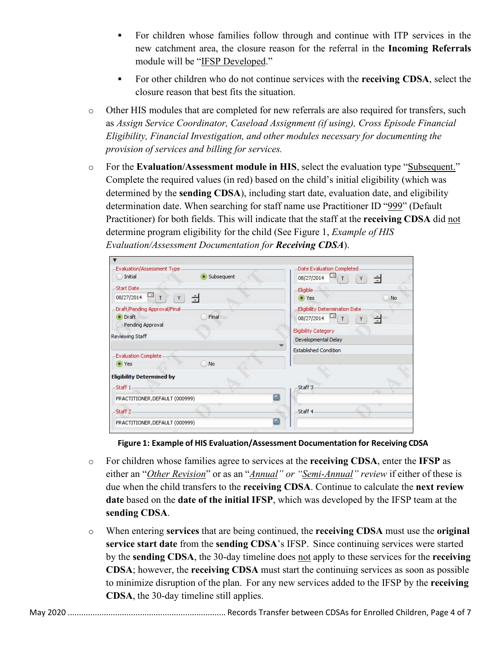- For children whose families follow through and continue with ITP services in the new catchment area, the closure reason for the referral in the **Incoming Referrals** module will be "IFSP Developed."
- For other children who do not continue services with the **receiving CDSA**, select the closure reason that best fits the situation.
- o Other HIS modules that are completed for new referrals are also required for transfers, such as *Assign Service Coordinator, Caseload Assignment (if using), Cross Episode Financial Eligibility, Financial Investigation, and other modules necessary for documenting the provision of services and billing for services.*
- o For the **Evaluation/Assessment module in HIS**, select the evaluation type "Subsequent." Complete the required values (in red) based on the child's initial eligibility (which was determined by the **sending CDSA**), including start date, evaluation date, and eligibility determination date. When searching for staff name use Practitioner ID "999" (Default Practitioner) for both fields. This will indicate that the staff at the **receiving CDSA** did not determine program eligibility for the child (See Figure 1, *Example of HIS Evaluation/Assessment Documentation for Receiving CDSA*).

| Evaluation/Assessment Type-         | Date Evaluation Completed                                                          |
|-------------------------------------|------------------------------------------------------------------------------------|
| · Subsequent<br>Initial<br>×        | 08/27/2014<br>싁<br>Υ                                                               |
| <b>Start Date</b>                   | Eligible                                                                           |
| $\Box$<br>÷<br>08/27/2014<br>T<br>Y | $\bullet$ Yes<br>No                                                                |
| Draft/Pending Approval/Final-       | Eligibility Determination Date                                                     |
| • Draft<br>Final                    | $\begin{array}{ c c c }\n\hline\n\bullet & T\n\end{array}$<br>08/27/2014<br>쉬<br>Y |
| Pending Approval                    | <b>Eligibility Category</b>                                                        |
| <b>Reviewing Staff</b>              | Developmental Delay                                                                |
|                                     | <b>Established Condition</b>                                                       |
| <b>Evaluation Complete</b>          |                                                                                    |
| N <sub>o</sub><br>() Yes            |                                                                                    |
| <b>Eligibility Determined by</b>    |                                                                                    |
| -Staff 1                            | Staff 3                                                                            |
| ×.                                  |                                                                                    |
| Q<br>PRACTITIONER, DEFAULT (000999) |                                                                                    |
| -Staff 2                            | -Staff 4                                                                           |
| O<br>PRACTITIONER, DEFAULT (000999) |                                                                                    |
|                                     |                                                                                    |

**Figure 1: Example of HIS Evaluation/Assessment Documentation for Receiving CDSA**

- o For children whose families agree to services at the **receiving CDSA**, enter the **IFSP** as either an "*Other Revision*" or as an "*Annual" or "Semi-Annual" review* if either of these is due when the child transfers to the **receiving CDSA**. Continue to calculate the **next review date** based on the **date of the initial IFSP**, which was developed by the IFSP team at the **sending CDSA**.
- o When entering **services** that are being continued, the **receiving CDSA** must use the **original service start date** from the **sending CDSA**'s IFSP. Since continuing services were started by the **sending CDSA**, the 30-day timeline does not apply to these services for the **receiving CDSA**; however, the **receiving CDSA** must start the continuing services as soon as possible to minimize disruption of the plan. For any new services added to the IFSP by the **receiving CDSA**, the 30-day timeline still applies.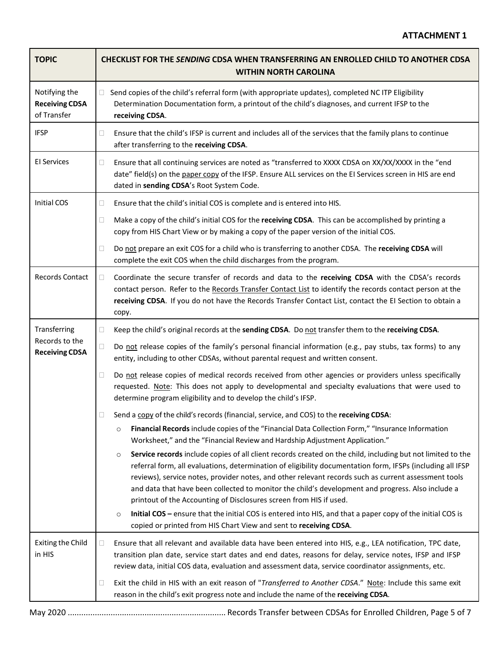| <b>TOPIC</b>                                          | <b>CHECKLIST FOR THE SENDING CDSA WHEN TRANSFERRING AN ENROLLED CHILD TO ANOTHER CDSA</b><br><b>WITHIN NORTH CAROLINA</b>                                                                                                                                                                                                                                                                                                                                                                                               |
|-------------------------------------------------------|-------------------------------------------------------------------------------------------------------------------------------------------------------------------------------------------------------------------------------------------------------------------------------------------------------------------------------------------------------------------------------------------------------------------------------------------------------------------------------------------------------------------------|
| Notifying the<br><b>Receiving CDSA</b><br>of Transfer | Send copies of the child's referral form (with appropriate updates), completed NC ITP Eligibility<br>$\Box$<br>Determination Documentation form, a printout of the child's diagnoses, and current IFSP to the<br>receiving CDSA.                                                                                                                                                                                                                                                                                        |
| <b>IFSP</b>                                           | Ensure that the child's IFSP is current and includes all of the services that the family plans to continue<br>0<br>after transferring to the receiving CDSA.                                                                                                                                                                                                                                                                                                                                                            |
| <b>El Services</b>                                    | Ensure that all continuing services are noted as "transferred to XXXX CDSA on XX/XX/XXXX in the "end<br>0<br>date" field(s) on the paper copy of the IFSP. Ensure ALL services on the EI Services screen in HIS are end<br>dated in sending CDSA's Root System Code.                                                                                                                                                                                                                                                    |
| Initial COS                                           | Ensure that the child's initial COS is complete and is entered into HIS.<br>0                                                                                                                                                                                                                                                                                                                                                                                                                                           |
|                                                       | Make a copy of the child's initial COS for the receiving CDSA. This can be accomplished by printing a<br>□<br>copy from HIS Chart View or by making a copy of the paper version of the initial COS.                                                                                                                                                                                                                                                                                                                     |
|                                                       | Do not prepare an exit COS for a child who is transferring to another CDSA. The receiving CDSA will<br>0<br>complete the exit COS when the child discharges from the program.                                                                                                                                                                                                                                                                                                                                           |
| <b>Records Contact</b>                                | Coordinate the secure transfer of records and data to the receiving CDSA with the CDSA's records<br>0<br>contact person. Refer to the Records Transfer Contact List to identify the records contact person at the<br>receiving CDSA. If you do not have the Records Transfer Contact List, contact the EI Section to obtain a<br>copy.                                                                                                                                                                                  |
| Transferring                                          | Keep the child's original records at the sending CDSA. Do not transfer them to the receiving CDSA.<br>□                                                                                                                                                                                                                                                                                                                                                                                                                 |
| Records to the<br><b>Receiving CDSA</b>               | Do not release copies of the family's personal financial information (e.g., pay stubs, tax forms) to any<br>□<br>entity, including to other CDSAs, without parental request and written consent.                                                                                                                                                                                                                                                                                                                        |
|                                                       | Do not release copies of medical records received from other agencies or providers unless specifically<br>□<br>requested. Note: This does not apply to developmental and specialty evaluations that were used to<br>determine program eligibility and to develop the child's IFSP.                                                                                                                                                                                                                                      |
|                                                       | Send a copy of the child's records (financial, service, and COS) to the receiving CDSA:                                                                                                                                                                                                                                                                                                                                                                                                                                 |
|                                                       | Financial Records include copies of the "Financial Data Collection Form," "Insurance Information<br>$\circ$<br>Worksheet," and the "Financial Review and Hardship Adjustment Application."                                                                                                                                                                                                                                                                                                                              |
|                                                       | Service records include copies of all client records created on the child, including but not limited to the<br>$\circ$<br>referral form, all evaluations, determination of eligibility documentation form, IFSPs (including all IFSP<br>reviews), service notes, provider notes, and other relevant records such as current assessment tools<br>and data that have been collected to monitor the child's development and progress. Also include a<br>printout of the Accounting of Disclosures screen from HIS if used. |
|                                                       | Initial COS - ensure that the initial COS is entered into HIS, and that a paper copy of the initial COS is<br>$\circ$<br>copied or printed from HIS Chart View and sent to receiving CDSA.                                                                                                                                                                                                                                                                                                                              |
| <b>Exiting the Child</b><br>in HIS                    | Ensure that all relevant and available data have been entered into HIS, e.g., LEA notification, TPC date,<br>0<br>transition plan date, service start dates and end dates, reasons for delay, service notes, IFSP and IFSP<br>review data, initial COS data, evaluation and assessment data, service coordinator assignments, etc.                                                                                                                                                                                      |
|                                                       | Exit the child in HIS with an exit reason of "Transferred to Another CDSA." Note: Include this same exit<br>$\Box$<br>reason in the child's exit progress note and include the name of the receiving CDSA.                                                                                                                                                                                                                                                                                                              |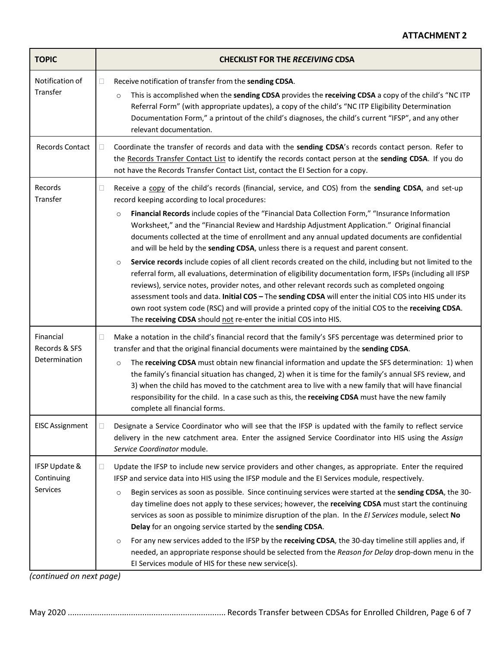| <b>TOPIC</b>                                                       | <b>CHECKLIST FOR THE RECEIVING CDSA</b>                                                                                                                                                                                                                                                                                                                                                                                                                                                                                                                                                                                                                                                                                                                                                                                                                                                                                                                                                                                                                                                                                                                                                                                                                                                                                                                                                                                                                                                                                                                                                                                                                                                                                                                                                                                                                      |
|--------------------------------------------------------------------|--------------------------------------------------------------------------------------------------------------------------------------------------------------------------------------------------------------------------------------------------------------------------------------------------------------------------------------------------------------------------------------------------------------------------------------------------------------------------------------------------------------------------------------------------------------------------------------------------------------------------------------------------------------------------------------------------------------------------------------------------------------------------------------------------------------------------------------------------------------------------------------------------------------------------------------------------------------------------------------------------------------------------------------------------------------------------------------------------------------------------------------------------------------------------------------------------------------------------------------------------------------------------------------------------------------------------------------------------------------------------------------------------------------------------------------------------------------------------------------------------------------------------------------------------------------------------------------------------------------------------------------------------------------------------------------------------------------------------------------------------------------------------------------------------------------------------------------------------------------|
| Notification of<br>Transfer                                        | Receive notification of transfer from the sending CDSA.<br>0<br>This is accomplished when the sending CDSA provides the receiving CDSA a copy of the child's "NC ITP<br>$\circ$<br>Referral Form" (with appropriate updates), a copy of the child's "NC ITP Eligibility Determination<br>Documentation Form," a printout of the child's diagnoses, the child's current "IFSP", and any other<br>relevant documentation.                                                                                                                                                                                                                                                                                                                                                                                                                                                                                                                                                                                                                                                                                                                                                                                                                                                                                                                                                                                                                                                                                                                                                                                                                                                                                                                                                                                                                                      |
| Records Contact                                                    | Coordinate the transfer of records and data with the sending CDSA's records contact person. Refer to<br>П<br>the Records Transfer Contact List to identify the records contact person at the sending CDSA. If you do<br>not have the Records Transfer Contact List, contact the EI Section for a copy.                                                                                                                                                                                                                                                                                                                                                                                                                                                                                                                                                                                                                                                                                                                                                                                                                                                                                                                                                                                                                                                                                                                                                                                                                                                                                                                                                                                                                                                                                                                                                       |
| Records<br>Transfer<br>Financial<br>Records & SFS<br>Determination | Receive a copy of the child's records (financial, service, and COS) from the sending CDSA, and set-up<br>u<br>record keeping according to local procedures:<br>Financial Records include copies of the "Financial Data Collection Form," "Insurance Information<br>$\circ$<br>Worksheet," and the "Financial Review and Hardship Adjustment Application." Original financial<br>documents collected at the time of enrollment and any annual updated documents are confidential<br>and will be held by the sending CDSA, unless there is a request and parent consent.<br>Service records include copies of all client records created on the child, including but not limited to the<br>$\circ$<br>referral form, all evaluations, determination of eligibility documentation form, IFSPs (including all IFSP<br>reviews), service notes, provider notes, and other relevant records such as completed ongoing<br>assessment tools and data. Initial COS - The sending CDSA will enter the initial COS into HIS under its<br>own root system code (RSC) and will provide a printed copy of the initial COS to the receiving CDSA.<br>The receiving CDSA should not re-enter the initial COS into HIS.<br>Make a notation in the child's financial record that the family's SFS percentage was determined prior to<br>0<br>transfer and that the original financial documents were maintained by the sending CDSA.<br>The receiving CDSA must obtain new financial information and update the SFS determination: 1) when<br>$\circ$<br>the family's financial situation has changed, 2) when it is time for the family's annual SFS review, and<br>3) when the child has moved to the catchment area to live with a new family that will have financial<br>responsibility for the child. In a case such as this, the receiving CDSA must have the new family |
| <b>EISC Assignment</b>                                             | complete all financial forms.<br>Designate a Service Coordinator who will see that the IFSP is updated with the family to reflect service<br>u<br>delivery in the new catchment area. Enter the assigned Service Coordinator into HIS using the Assign<br>Service Coordinator module.                                                                                                                                                                                                                                                                                                                                                                                                                                                                                                                                                                                                                                                                                                                                                                                                                                                                                                                                                                                                                                                                                                                                                                                                                                                                                                                                                                                                                                                                                                                                                                        |
| IFSP Update &<br>Continuing<br>Services                            | Update the IFSP to include new service providers and other changes, as appropriate. Enter the required<br>0<br>IFSP and service data into HIS using the IFSP module and the EI Services module, respectively.<br>Begin services as soon as possible. Since continuing services were started at the sending CDSA, the 30-<br>$\circ$<br>day timeline does not apply to these services; however, the receiving CDSA must start the continuing<br>services as soon as possible to minimize disruption of the plan. In the EI Services module, select No<br>Delay for an ongoing service started by the sending CDSA.<br>For any new services added to the IFSP by the receiving CDSA, the 30-day timeline still applies and, if<br>$\circ$<br>needed, an appropriate response should be selected from the Reason for Delay drop-down menu in the<br>El Services module of HIS for these new service(s).                                                                                                                                                                                                                                                                                                                                                                                                                                                                                                                                                                                                                                                                                                                                                                                                                                                                                                                                                         |

*(continued on next page)*